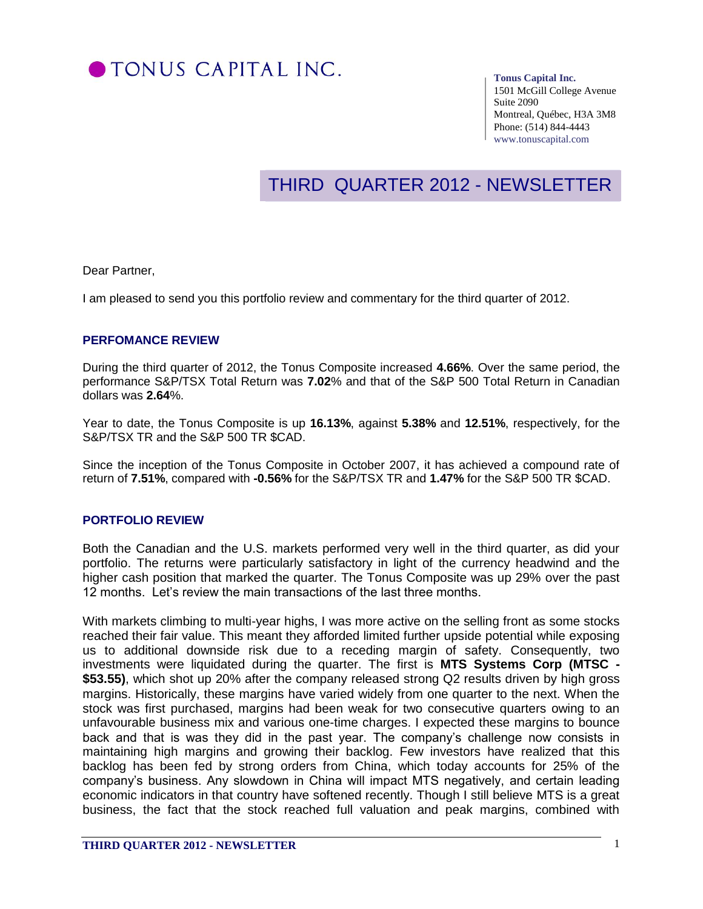

#### **Tonus Capital Inc.**

1501 McGill College Avenue Suite 2090 Montreal, Québec, H3A 3M8 Phone: (514) 844-4443 www.tonuscapital.com

# THIRD QUARTER 2012 - NEWSLETTER

Dear Partner,

I am pleased to send you this portfolio review and commentary for the third quarter of 2012.

### **PERFOMANCE REVIEW**

During the third quarter of 2012, the Tonus Composite increased **4.66%**. Over the same period, the performance S&P/TSX Total Return was **7.02**% and that of the S&P 500 Total Return in Canadian dollars was **2.64**%.

Year to date, the Tonus Composite is up **16.13%**, against **5.38%** and **12.51%**, respectively, for the S&P/TSX TR and the S&P 500 TR \$CAD.

Since the inception of the Tonus Composite in October 2007, it has achieved a compound rate of return of **7.51%**, compared with **-0.56%** for the S&P/TSX TR and **1.47%** for the S&P 500 TR \$CAD.

#### **PORTFOLIO REVIEW**

Both the Canadian and the U.S. markets performed very well in the third quarter, as did your portfolio. The returns were particularly satisfactory in light of the currency headwind and the higher cash position that marked the quarter. The Tonus Composite was up 29% over the past 12 months. Let's review the main transactions of the last three months.

With markets climbing to multi-year highs, I was more active on the selling front as some stocks reached their fair value. This meant they afforded limited further upside potential while exposing us to additional downside risk due to a receding margin of safety. Consequently, two investments were liquidated during the quarter. The first is **MTS Systems Corp (MTSC - \$53.55)**, which shot up 20% after the company released strong Q2 results driven by high gross margins. Historically, these margins have varied widely from one quarter to the next. When the stock was first purchased, margins had been weak for two consecutive quarters owing to an unfavourable business mix and various one-time charges. I expected these margins to bounce back and that is was they did in the past year. The company's challenge now consists in maintaining high margins and growing their backlog. Few investors have realized that this backlog has been fed by strong orders from China, which today accounts for 25% of the company's business. Any slowdown in China will impact MTS negatively, and certain leading economic indicators in that country have softened recently. Though I still believe MTS is a great business, the fact that the stock reached full valuation and peak margins, combined with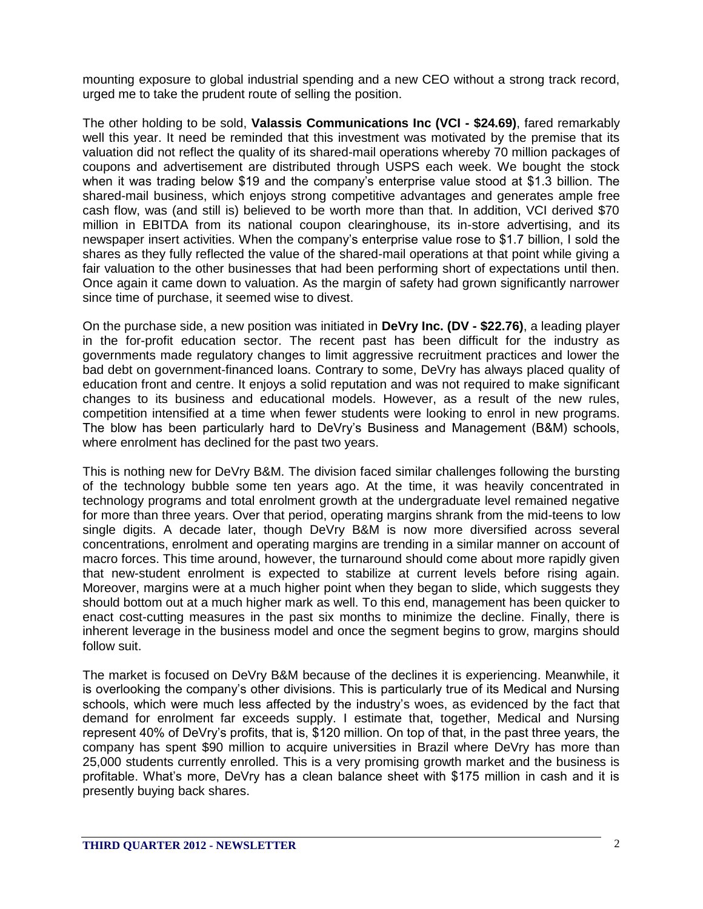mounting exposure to global industrial spending and a new CEO without a strong track record, urged me to take the prudent route of selling the position.

The other holding to be sold, **Valassis Communications Inc (VCI - \$24.69)**, fared remarkably well this year. It need be reminded that this investment was motivated by the premise that its valuation did not reflect the quality of its shared-mail operations whereby 70 million packages of coupons and advertisement are distributed through USPS each week. We bought the stock when it was trading below \$19 and the company's enterprise value stood at \$1.3 billion. The shared-mail business, which enjoys strong competitive advantages and generates ample free cash flow, was (and still is) believed to be worth more than that. In addition, VCI derived \$70 million in EBITDA from its national coupon clearinghouse, its in-store advertising, and its newspaper insert activities. When the company's enterprise value rose to \$1.7 billion, I sold the shares as they fully reflected the value of the shared-mail operations at that point while giving a fair valuation to the other businesses that had been performing short of expectations until then. Once again it came down to valuation. As the margin of safety had grown significantly narrower since time of purchase, it seemed wise to divest.

On the purchase side, a new position was initiated in **DeVry Inc. (DV - \$22.76)**, a leading player in the for-profit education sector. The recent past has been difficult for the industry as governments made regulatory changes to limit aggressive recruitment practices and lower the bad debt on government-financed loans. Contrary to some, DeVry has always placed quality of education front and centre. It enjoys a solid reputation and was not required to make significant changes to its business and educational models. However, as a result of the new rules, competition intensified at a time when fewer students were looking to enrol in new programs. The blow has been particularly hard to DeVry's Business and Management (B&M) schools, where enrolment has declined for the past two years.

This is nothing new for DeVry B&M. The division faced similar challenges following the bursting of the technology bubble some ten years ago. At the time, it was heavily concentrated in technology programs and total enrolment growth at the undergraduate level remained negative for more than three years. Over that period, operating margins shrank from the mid-teens to low single digits. A decade later, though DeVry B&M is now more diversified across several concentrations, enrolment and operating margins are trending in a similar manner on account of macro forces. This time around, however, the turnaround should come about more rapidly given that new-student enrolment is expected to stabilize at current levels before rising again. Moreover, margins were at a much higher point when they began to slide, which suggests they should bottom out at a much higher mark as well. To this end, management has been quicker to enact cost-cutting measures in the past six months to minimize the decline. Finally, there is inherent leverage in the business model and once the segment begins to grow, margins should follow suit.

The market is focused on DeVry B&M because of the declines it is experiencing. Meanwhile, it is overlooking the company's other divisions. This is particularly true of its Medical and Nursing schools, which were much less affected by the industry's woes, as evidenced by the fact that demand for enrolment far exceeds supply. I estimate that, together, Medical and Nursing represent 40% of DeVry's profits, that is, \$120 million. On top of that, in the past three years, the company has spent \$90 million to acquire universities in Brazil where DeVry has more than 25,000 students currently enrolled. This is a very promising growth market and the business is profitable. What's more, DeVry has a clean balance sheet with \$175 million in cash and it is presently buying back shares.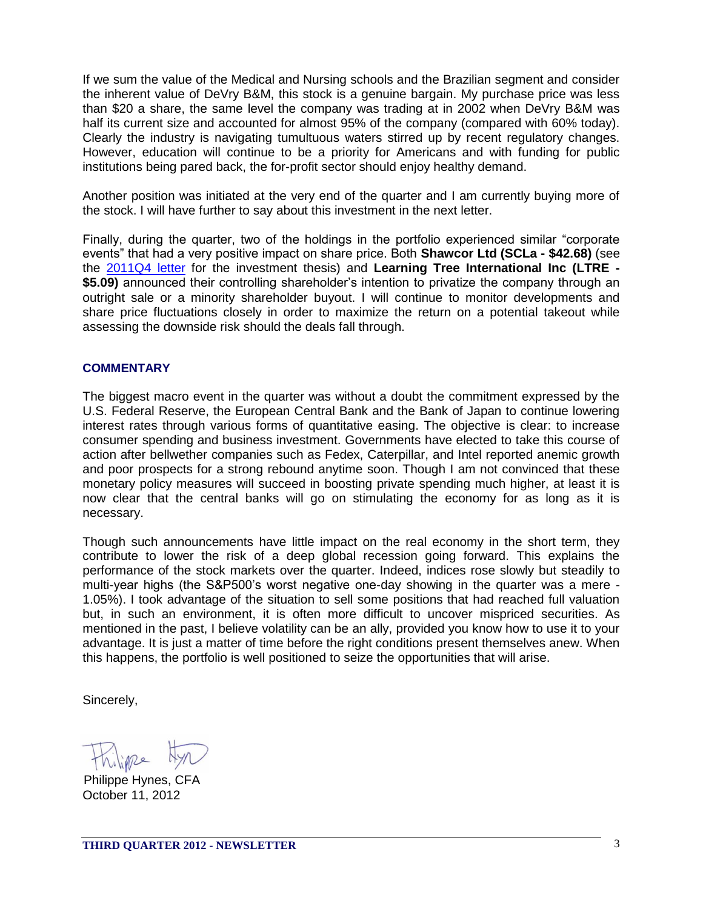If we sum the value of the Medical and Nursing schools and the Brazilian segment and consider the inherent value of DeVry B&M, this stock is a genuine bargain. My purchase price was less than \$20 a share, the same level the company was trading at in 2002 when DeVry B&M was half its current size and accounted for almost 95% of the company (compared with 60% today). Clearly the industry is navigating tumultuous waters stirred up by recent regulatory changes. However, education will continue to be a priority for Americans and with funding for public institutions being pared back, the for-profit sector should enjoy healthy demand.

Another position was initiated at the very end of the quarter and I am currently buying more of the stock. I will have further to say about this investment in the next letter.

Finally, during the quarter, two of the holdings in the portfolio experienced similar "corporate events" that had a very positive impact on share price. Both **Shawcor Ltd (SCLa - \$42.68)** (see the [2011Q4 letter](http://www.tonuscapital.com/document/2011_partner_Q4.pdf) for the investment thesis) and **Learning Tree International Inc (LTRE - \$5.09)** announced their controlling shareholder's intention to privatize the company through an outright sale or a minority shareholder buyout. I will continue to monitor developments and share price fluctuations closely in order to maximize the return on a potential takeout while assessing the downside risk should the deals fall through.

#### **COMMENTARY**

The biggest macro event in the quarter was without a doubt the commitment expressed by the U.S. Federal Reserve, the European Central Bank and the Bank of Japan to continue lowering interest rates through various forms of quantitative easing. The objective is clear: to increase consumer spending and business investment. Governments have elected to take this course of action after bellwether companies such as Fedex, Caterpillar, and Intel reported anemic growth and poor prospects for a strong rebound anytime soon. Though I am not convinced that these monetary policy measures will succeed in boosting private spending much higher, at least it is now clear that the central banks will go on stimulating the economy for as long as it is necessary.

Though such announcements have little impact on the real economy in the short term, they contribute to lower the risk of a deep global recession going forward. This explains the performance of the stock markets over the quarter. Indeed, indices rose slowly but steadily to multi-year highs (the S&P500's worst negative one-day showing in the quarter was a mere - 1.05%). I took advantage of the situation to sell some positions that had reached full valuation but, in such an environment, it is often more difficult to uncover mispriced securities. As mentioned in the past, I believe volatility can be an ally, provided you know how to use it to your advantage. It is just a matter of time before the right conditions present themselves anew. When this happens, the portfolio is well positioned to seize the opportunities that will arise.

Sincerely,

October 11, 2012 Philippe Hynes, CFA